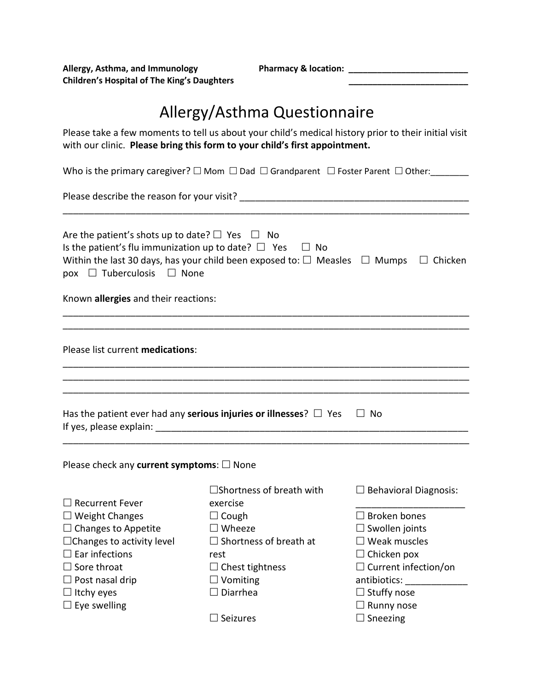**Allergy, Asthma, and Immunology Pharmacy & location: \_\_\_\_\_\_\_\_\_\_\_\_\_\_\_\_\_\_\_\_\_\_\_\_\_ Children's Hospital of The King's Daughters \_\_\_\_\_\_\_\_\_\_\_\_\_\_\_\_\_\_\_\_\_\_\_\_\_**

# Allergy/Asthma Questionnaire

Please take a few moments to tell us about your child's medical history prior to their initial visit with our clinic. **Please bring this form to your child's first appointment.** 

Who is the primary caregiver?  $\square$  Mom  $\square$  Dad  $\square$  Grandparent  $\square$  Foster Parent  $\square$  Other: \_\_\_\_\_\_\_\_

Please describe the reason for your visit?

| Are the patient's shots up to date? $\Box$ Yes $\Box$ No<br>Is the patient's flu immunization up to date? $\Box$ Yes<br>pox $\Box$ Tuberculosis $\Box$ None | $\Box$ No<br>Within the last 30 days, has your child been exposed to: $\Box$ Measles $\Box$ Mumps | $\Box$ Chicken               |  |
|-------------------------------------------------------------------------------------------------------------------------------------------------------------|---------------------------------------------------------------------------------------------------|------------------------------|--|
| Known allergies and their reactions:                                                                                                                        |                                                                                                   |                              |  |
| Please list current medications:                                                                                                                            |                                                                                                   |                              |  |
|                                                                                                                                                             | Has the patient ever had any <b>serious injuries or illnesses</b> ? $\Box$ Yes                    | $\Box$ No                    |  |
| Please check any current symptoms: $\square$ None                                                                                                           |                                                                                                   |                              |  |
|                                                                                                                                                             | $\square$ Shortness of breath with                                                                | $\Box$ Behavioral Diagnosis: |  |
| $\Box$ Recurrent Fever<br>$\Box$ Weight Changes                                                                                                             | exercise<br>$\Box$ Cough                                                                          | $\Box$ Broken bones          |  |
| $\Box$ Changes to Appetite                                                                                                                                  | $\Box$ Wheeze                                                                                     | $\Box$ Swollen joints        |  |
| $\Box$ Changes to activity level                                                                                                                            | $\Box$ Shortness of breath at                                                                     | $\Box$ Weak muscles          |  |
| $\square$ Ear infections                                                                                                                                    | rest                                                                                              | $\Box$ Chicken pox           |  |
| $\Box$ Sore throat                                                                                                                                          | $\Box$ Chest tightness                                                                            | $\Box$ Current infection/on  |  |
| $\Box$ Post nasal drip                                                                                                                                      | $\Box$ Vomiting                                                                                   | antibiotics:                 |  |
| $\Box$ Itchy eyes                                                                                                                                           | $\Box$ Diarrhea                                                                                   | $\Box$ Stuffy nose           |  |
| $\Box$ Eye swelling                                                                                                                                         |                                                                                                   | $\Box$ Runny nose            |  |
|                                                                                                                                                             | $\Box$ Seizures                                                                                   | $\Box$ Sneezing              |  |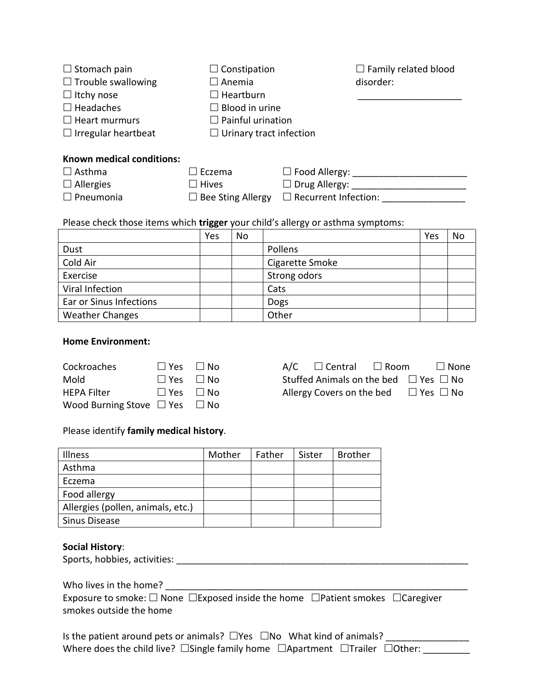| $\Box$ Stomach pain        | $\Box$ Constipation            |                               | $\Box$ Family related blood |
|----------------------------|--------------------------------|-------------------------------|-----------------------------|
| $\Box$ Trouble swallowing  | $\square$ Anemia               |                               | disorder:                   |
| $\Box$ Itchy nose          | $\Box$ Heartburn               |                               |                             |
| $\Box$ Headaches           | $\Box$ Blood in urine          |                               |                             |
| $\Box$ Heart murmurs       | $\Box$ Painful urination       |                               |                             |
| $\Box$ Irregular heartbeat | $\Box$ Urinary tract infection |                               |                             |
| Known medical conditions:  |                                |                               |                             |
| $\Box$ Asthma              | $\Box$ Eczema                  | $\Box$ Food Allergy: ________ |                             |
| $\Box$ Allergies           | $\square$ Hives                | $\Box$ Drug Allergy: ______   |                             |
| $\Box$ Pneumonia           | $\Box$ Bee Sting Allergy       | $\Box$ Recurrent Infection:   |                             |

### Please check those items which **trigger** your child's allergy or asthma symptoms:

|                         | Yes | <b>No</b> |                 | Yes | No |
|-------------------------|-----|-----------|-----------------|-----|----|
| Dust                    |     |           | Pollens         |     |    |
| Cold Air                |     |           | Cigarette Smoke |     |    |
| Exercise                |     |           | Strong odors    |     |    |
| Viral Infection         |     |           | Cats            |     |    |
| Ear or Sinus Infections |     |           | <b>Dogs</b>     |     |    |
| <b>Weather Changes</b>  |     |           | Other           |     |    |

#### **Home Environment:**

| Cockroaches                             | $\Box$ Yes $\Box$ No |
|-----------------------------------------|----------------------|
| Mold                                    | $\Box$ Yes $\Box$ No |
| <b>HEPA Filter</b>                      | $\Box$ Yes $\Box$ No |
| Wood Burning Stove $\Box$ Yes $\Box$ No |                      |

| Cockroaches | $\Box$ Yes $\Box$ No |  | $A/C$ $\Box$ Central $\Box$ Room                |  | $\square$ None |
|-------------|----------------------|--|-------------------------------------------------|--|----------------|
| Mold        | llYes llNo           |  | Stuffed Animals on the bed $\Box$ Yes $\Box$ No |  |                |
| HEPA Filter | $\Box$ Yes $\Box$ No |  | Allergy Covers on the bed $\Box$ Yes $\Box$ No  |  |                |

#### Please identify **family medical history**.

| Illness                           | Mother | Father | Sister | <b>Brother</b> |
|-----------------------------------|--------|--------|--------|----------------|
| Asthma                            |        |        |        |                |
| Eczema                            |        |        |        |                |
| Food allergy                      |        |        |        |                |
| Allergies (pollen, animals, etc.) |        |        |        |                |
| Sinus Disease                     |        |        |        |                |

#### **Social History**:

Sports, hobbies, activities: \_\_\_\_\_\_\_\_\_\_\_\_\_\_\_\_\_\_\_\_\_\_\_\_\_\_\_\_\_\_\_\_\_\_\_\_\_\_\_\_\_\_\_\_\_\_\_\_\_\_\_\_\_\_\_\_

Who lives in the home? \_\_\_\_\_\_\_\_\_\_\_\_\_\_\_\_\_\_\_\_\_\_\_\_\_\_\_\_\_\_\_\_\_\_\_\_\_\_\_\_\_\_\_\_\_\_\_\_\_\_\_\_\_\_\_\_\_\_

| Exposure to smoke: $\Box$ None $\Box$ Exposed inside the home $\Box$ Patient smokes $\Box$ Caregiver |  |  |
|------------------------------------------------------------------------------------------------------|--|--|
| smokes outside the home                                                                              |  |  |

| Is the patient around pets or animals? $\Box$ Yes $\Box$ No What kind of animals?                  |  |  |  |
|----------------------------------------------------------------------------------------------------|--|--|--|
| Where does the child live? $\Box$ Single family home $\Box$ Apartment $\Box$ Trailer $\Box$ Other: |  |  |  |